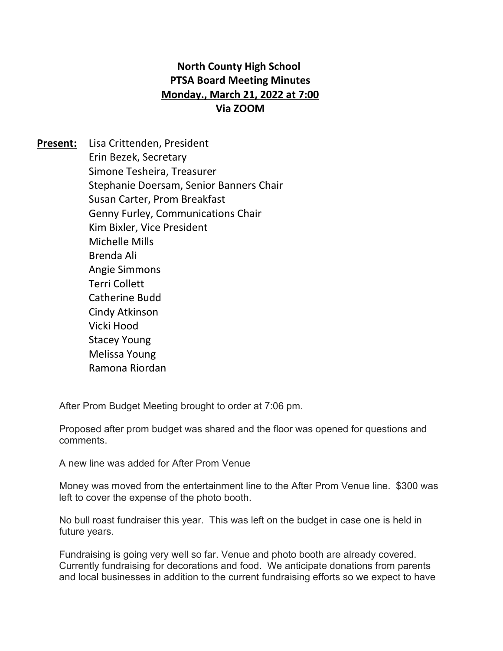## **North County High School PTSA Board Meeting Minutes Monday., March 21, 2022 at 7:00 Via ZOOM**

**Present:** Lisa Crittenden, President Erin Bezek, Secretary Simone Tesheira, Treasurer Stephanie Doersam, Senior Banners Chair Susan Carter, Prom Breakfast Genny Furley, Communications Chair Kim Bixler, Vice President Michelle Mills Brenda Ali Angie Simmons Terri Collett Catherine Budd Cindy Atkinson Vicki Hood Stacey Young Melissa Young Ramona Riordan

After Prom Budget Meeting brought to order at 7:06 pm.

Proposed after prom budget was shared and the floor was opened for questions and comments.

A new line was added for After Prom Venue

Money was moved from the entertainment line to the After Prom Venue line. \$300 was left to cover the expense of the photo booth.

No bull roast fundraiser this year. This was left on the budget in case one is held in future years.

Fundraising is going very well so far. Venue and photo booth are already covered. Currently fundraising for decorations and food. We anticipate donations from parents and local businesses in addition to the current fundraising efforts so we expect to have